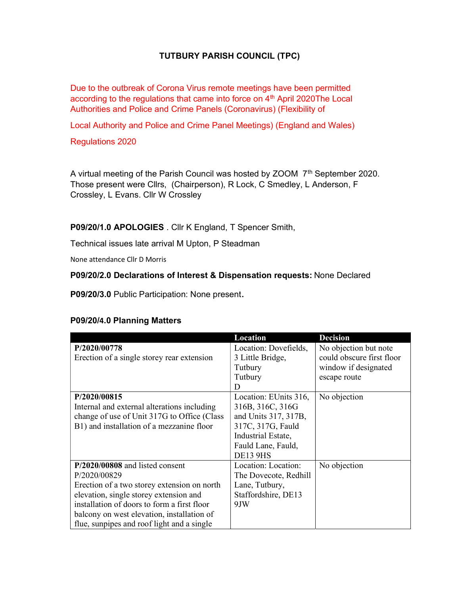## TUTBURY PARISH COUNCIL (TPC)

Due to the outbreak of Corona Virus remote meetings have been permitted according to the regulations that came into force on 4<sup>th</sup> April 2020The Local Authorities and Police and Crime Panels (Coronavirus) (Flexibility of

Local Authority and Police and Crime Panel Meetings) (England and Wales)

Regulations 2020

A virtual meeting of the Parish Council was hosted by ZOOM 7<sup>th</sup> September 2020. Those present were Cllrs, (Chairperson), R Lock, C Smedley, L Anderson, F Crossley, L Evans. Cllr W Crossley

P09/20/1.0 APOLOGIES . Cllr K England, T Spencer Smith,

Technical issues late arrival M Upton, P Steadman

None attendance Cllr D Morris

## P09/20/2.0 Declarations of Interest & Dispensation requests: None Declared

P09/20/3.0 Public Participation: None present.

| P09/20/4.0 Planning Matters |  |  |
|-----------------------------|--|--|
|-----------------------------|--|--|

|                                             | Location              | <b>Decision</b>           |
|---------------------------------------------|-----------------------|---------------------------|
| P/2020/00778                                | Location: Dovefields, | No objection but note     |
| Erection of a single storey rear extension  | 3 Little Bridge,      | could obscure first floor |
|                                             | Tutbury               | window if designated      |
|                                             | Tutbury               | escape route              |
|                                             | D                     |                           |
| P/2020/00815                                | Location: EUnits 316, | No objection              |
| Internal and external alterations including | 316B, 316C, 316G      |                           |
| change of use of Unit 317G to Office (Class | and Units 317, 317B,  |                           |
| B1) and installation of a mezzanine floor   | 317C, 317G, Fauld     |                           |
|                                             | Industrial Estate,    |                           |
|                                             | Fauld Lane, Fauld,    |                           |
|                                             | <b>DE13 9HS</b>       |                           |
| P/2020/00808 and listed consent             | Location: Location:   | No objection              |
| P/2020/00829                                | The Dovecote, Redhill |                           |
| Erection of a two storey extension on north | Lane, Tutbury,        |                           |
| elevation, single storey extension and      | Staffordshire, DE13   |                           |
| installation of doors to form a first floor | 9JW                   |                           |
| balcony on west elevation, installation of  |                       |                           |
| flue, sunpipes and roof light and a single  |                       |                           |